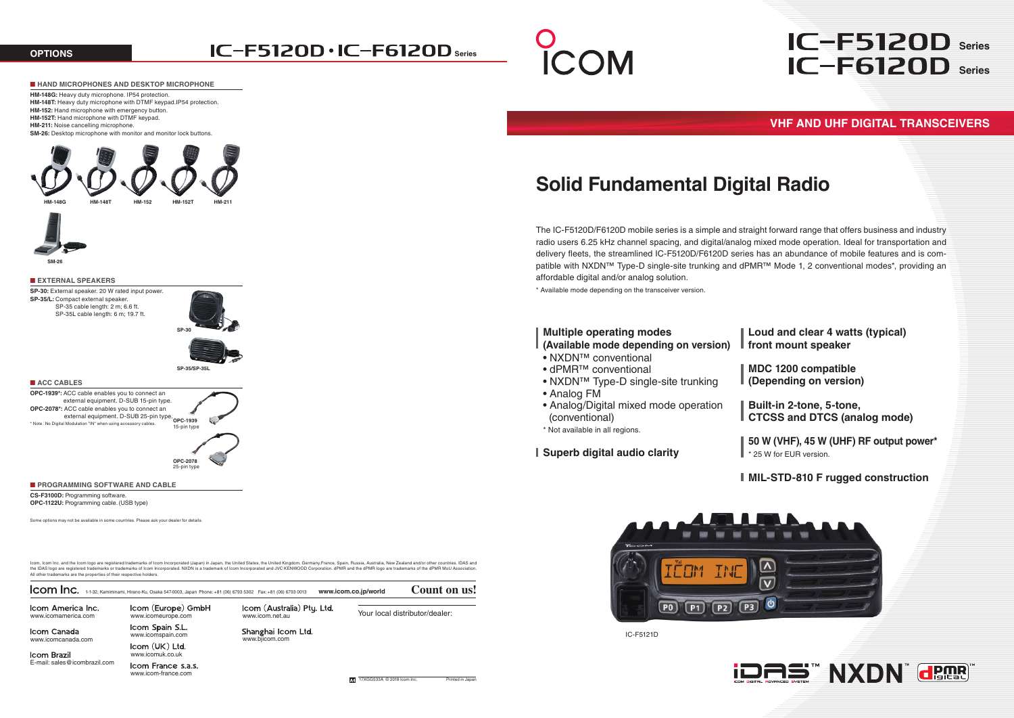Icom Brazil E-mail: sales@icombrazil.com

www.icomuk.co.uk Icom France s.a.s. www.icom-france.com

www.bjicom.com

Shanghai Icom Ltd.

17XGG533A © 2018 Icom Inc. Printed in Japanese Printed in Japanese Printed in Japanese Printed in Japanese Printed in Japanese Printed in Japanese Printed in Japanese Printed in Japanese Printed in Japanese Printed in Japa

 $P2$ 

www.icomeurope.com

Icom Spain S.L.

## **IC-F5120D · IC-F6120D** series



www.icomamerica.com www.icomeurope.com www.icom.net.au

Icom Canada<br>
www.icomcanada.com www.icomspain.com<br>
Icom (UK) Ltd.

The IC-F5120D/F6120D mobile series is a simple and straight forward range that offers business and industry radio users 6.25 kHz channel spacing, and digital/analog mixed mode operation. Ideal for transportation and delivery fleets, the streamlined IC-F5120D/F6120D series has an abundance of mobile features and is compatible with NXDN™ Type-D single-site trunking and dPMR™ Mode 1, 2 conventional modes\*, providing an

## **VHF AND UHF DIGITAL TRANSCEIVERS**

IC-F5121D

# **IC-F6120D** series **IC-F5120D** series

**MDC 1200 compatible (Depending on version)**

**Built-in 2-tone, 5-tone, CTCSS and DTCS (analog mode)**

**50 W (VHF), 45 W (UHF) RF output power\*** \* 25 W for EUR version.

**MIL-STD-810 F rugged construction**





**Loud and clear 4 watts (typical) front mount speaker**